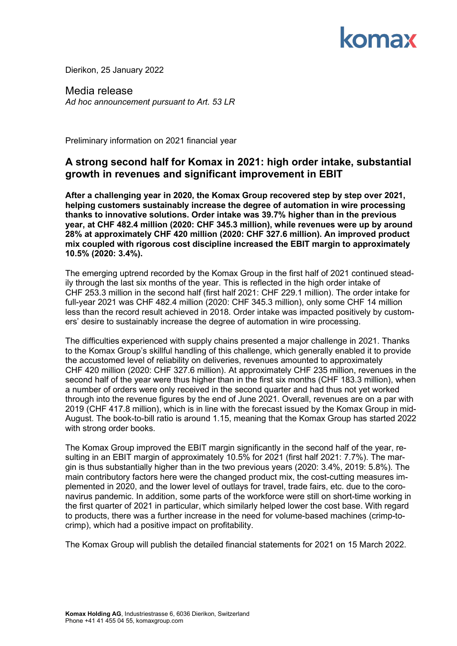## comax

Dierikon, 25 January 2022

Media release *Ad hoc announcement pursuant to Art. 53 LR*

Preliminary information on 2021 financial year

## **A strong second half for Komax in 2021: high order intake, substantial growth in revenues and significant improvement in EBIT**

**After a challenging year in 2020, the Komax Group recovered step by step over 2021, helping customers sustainably increase the degree of automation in wire processing thanks to innovative solutions. Order intake was 39.7% higher than in the previous year, at CHF 482.4 million (2020: CHF 345.3 million), while revenues were up by around 28% at approximately CHF 420 million (2020: CHF 327.6 million). An improved product mix coupled with rigorous cost discipline increased the EBIT margin to approximately 10.5% (2020: 3.4%).**

The emerging uptrend recorded by the Komax Group in the first half of 2021 continued steadily through the last six months of the year. This is reflected in the high order intake of CHF 253.3 million in the second half (first half 2021: CHF 229.1 million). The order intake for full-year 2021 was CHF 482.4 million (2020: CHF 345.3 million), only some CHF 14 million less than the record result achieved in 2018. Order intake was impacted positively by customers' desire to sustainably increase the degree of automation in wire processing.

The difficulties experienced with supply chains presented a major challenge in 2021. Thanks to the Komax Group's skillful handling of this challenge, which generally enabled it to provide the accustomed level of reliability on deliveries, revenues amounted to approximately CHF 420 million (2020: CHF 327.6 million). At approximately CHF 235 million, revenues in the second half of the year were thus higher than in the first six months (CHF 183.3 million), when a number of orders were only received in the second quarter and had thus not yet worked through into the revenue figures by the end of June 2021. Overall, revenues are on a par with 2019 (CHF 417.8 million), which is in line with the forecast issued by the Komax Group in mid-August. The book-to-bill ratio is around 1.15, meaning that the Komax Group has started 2022 with strong order books.

The Komax Group improved the EBIT margin significantly in the second half of the year, resulting in an EBIT margin of approximately 10.5% for 2021 (first half 2021: 7.7%). The margin is thus substantially higher than in the two previous years (2020: 3.4%, 2019: 5.8%). The main contributory factors here were the changed product mix, the cost-cutting measures implemented in 2020, and the lower level of outlays for travel, trade fairs, etc. due to the coronavirus pandemic. In addition, some parts of the workforce were still on short-time working in the first quarter of 2021 in particular, which similarly helped lower the cost base. With regard to products, there was a further increase in the need for volume-based machines (crimp-tocrimp), which had a positive impact on profitability.

The Komax Group will publish the detailed financial statements for 2021 on 15 March 2022.